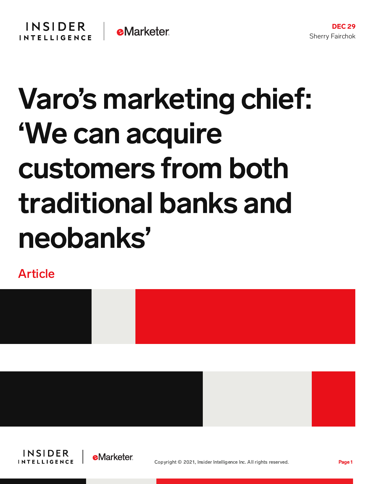

## Varo's marketing chief: 'We can acquire customers from both traditional banks and neobanks'

Article







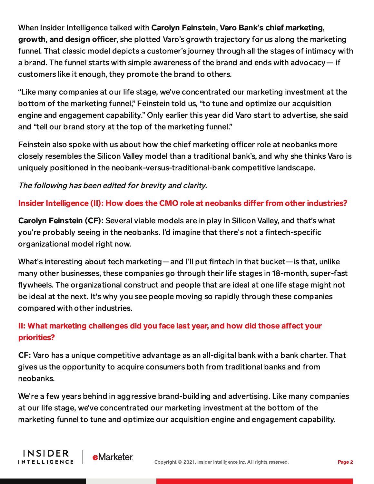When Insider Intelligence talked with Carolyn Feinstein, Varo Bank**'**s chief marketing, growth, and design officer, she plotted Varo's growth trajectory for us along the marketing funnel. That classic model depicts a customer's journey through all the stages of intimacy with a brand. The funnel starts with simple awareness of the brand and ends with advocacy— if customers like it enough, they promote the brand to others.

"Like many companies at our life stage, we've concentrated our marketing investment at the bottom of the marketing funnel," Feinstein told us, "to tune and optimize our acquisition engine and engagement capability." Only earlier this year did Varo start to advertise, she said and "tell our brand story at the top of the marketing funnel."

Feinstein also spoke with us about how the chief marketing officer role at neobanks more closely resembles the Silicon Valley model than a traditional bank's, and why she thinks Varo is uniquely positioned in the neobank-versus-traditional-bank competitive landscape.

The following has been edited for brevity and clarity.

## Insider Intelligence (II): How does the CMO role at neobanks differ from other industries?

Carolyn Feinstein (CF): Several viable models are in play in Silicon Valley, and that's what you're probably seeing in the neobanks. I'd imagine that there's not a fintech-specific organizational model right now.

What's interesting about tech marketing—and I'll put fintech in that bucket—is that, unlike many other businesses, these companies go through their life stages in 18-month, super-fast flywheels. The organizational construct and people that are ideal at one life stage might not be ideal at the next. It's why you see people moving so rapidly through these companies compared with other industries.

## II: What marketing challenges did you face last year, and how did those affect your priorities?

CF: Varo has a unique competitive advantage as an all-digital bank with a bank charter. That gives us the opportunity to acquire consumers both from traditional banks and from neobanks.

We're a few years behind in aggressive brand-building and advertising. Like many companies at our life stage, we've concentrated our marketing investment at the bottom of the marketing funnel to tune and optimize our acquisition engine and engagement capability.